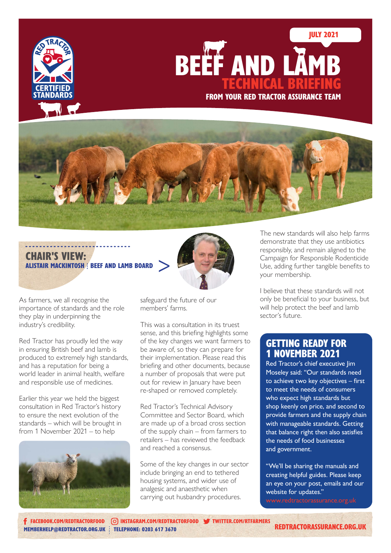

TECHNICAL BRIEFING FROM YOUR RED TRACTOR ASSURANCE TEAM BEEF AND LAMB

# ------------------------------ > CHAIR'S VIEW: ALISTAIR MACKINTOSH | BEEF AND LAMB BOARD



As farmers, we all recognise the importance of standards and the role they play in underpinning the industry's credibility.

Red Tractor has proudly led the way in ensuring British beef and lamb is produced to extremely high standards, and has a reputation for being a world leader in animal health, welfare and responsible use of medicines.

Earlier this year we held the biggest consultation in Red Tractor's history to ensure the next evolution of the standards – which will be brought in from 1 November 2021 – to help



safeguard the future of our members' farms.

This was a consultation in its truest sense, and this briefing highlights some of the key changes we want farmers to be aware of, so they can prepare for their implementation. Please read this briefing and other documents, because a number of proposals that were put out for review in January have been re-shaped or removed completely.

Red Tractor's Technical Advisory Committee and Sector Board, which are made up of a broad cross section of the supply chain – from farmers to retailers – has reviewed the feedback and reached a consensus.

Some of the key changes in our sector include bringing an end to tethered housing systems, and wider use of analgesic and anaesthetic when carrying out husbandry procedures.

The new standards will also help farms demonstrate that they use antibiotics responsibly, and remain aligned to the Campaign for Responsible Rodenticide Use, adding further tangible benefits to your membership.

JULY 2021

I believe that these standards will not only be beneficial to your business, but will help protect the beef and lamb sector's future.

# GETTING READY FOR 1 NOVEMBER 2021

Red Tractor's chief executive lim Moseley said: "Our standards need to achieve two key objectives – first to meet the needs of consumers who expect high standards but shop keenly on price, and second to provide farmers and the supply chain with manageable standards. Getting that balance right then also satisfies the needs of food businesses and government.

"We'll be sharing the manuals and creating helpful guides. Please keep an eye on your post, emails and our website for updates."

[MEMBERHELP@REDTRACTOR.ORG.UK](mailto:memberhelp%40redtractor.org.uk?subject=) : TELEPHONE: 0203 617 3670 [FACEBOOK.COM/REDTRACTORFOOD](http://facebook.com/redtractorfood) [INSTAGRAM.COM/REDTRACTORFOOD](http://instagram.com/redtractorfood) [TWITTER.COM/R](http://twitter.com/rtfarmers)TFARMERS